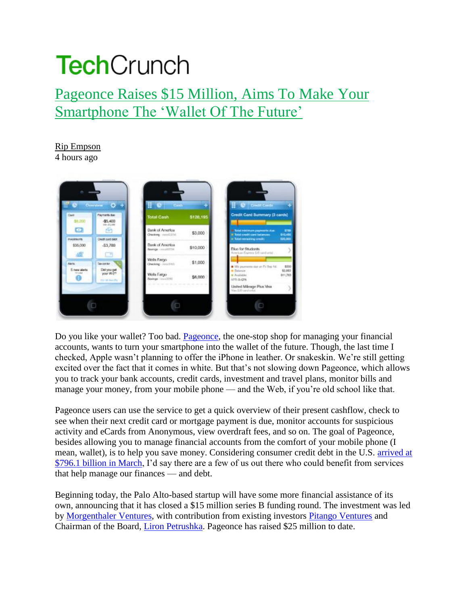## **Tech**Crunch

## Pageonce Raises \$15 Million, Aims To Make Your Smartphone The 'Wallet Of The Future'

## Rip Empson

4 hours ago



Do you like your wallet? Too bad. Pageonce, the one-stop shop for managing your financial accounts, wants to turn your smartphone into the wallet of the future. Though, the last time I checked, Apple wasn't planning to offer the iPhone in leather. Or snakeskin. We're still getting excited over the fact that it comes in white. But that's not slowing down Pageonce, which allows you to track your bank accounts, credit cards, investment and travel plans, monitor bills and manage your money, from your mobile phone — and the Web, if you're old school like that.

Pageonce users can use the service to get a quick overview of their present cashflow, check to see when their next credit card or mortgage payment is due, monitor accounts for suspicious activity and eCards from Anonymous, view overdraft fees, and so on. The goal of Pageonce, besides allowing you to manage financial accounts from the comfort of your mobile phone (I mean, wallet), is to help you save money. Considering consumer credit debt in the U.S. arrived at \$796.1 billion in March, I'd say there are a few of us out there who could benefit from services that help manage our finances — and debt.

Beginning today, the Palo Alto-based startup will have some more financial assistance of its own, announcing that it has closed a \$15 million series B funding round. The investment was led by Morgenthaler Ventures, with contribution from existing investors Pitango Ventures and Chairman of the Board, Liron Petrushka. Pageonce has raised \$25 million to date.